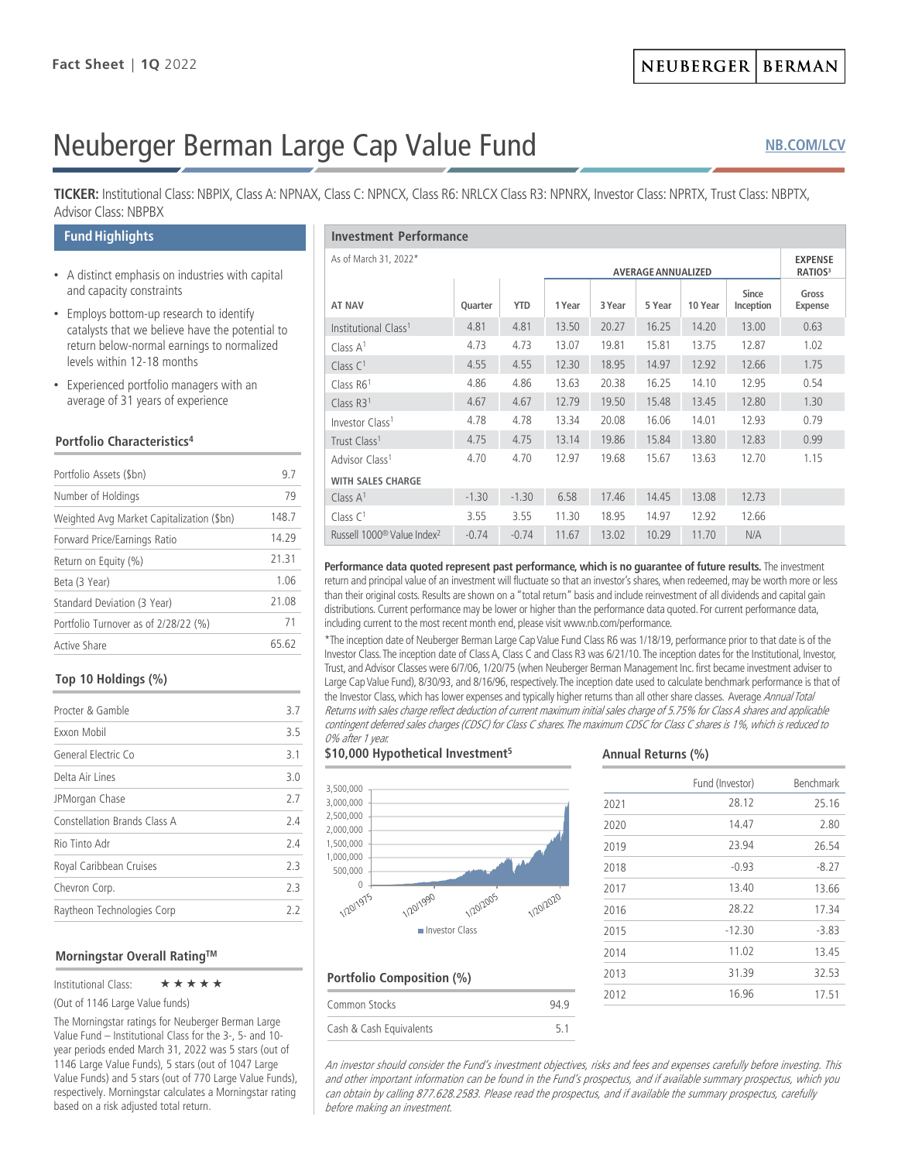# Neuberger Berman Large Cap Value Fund

# **[NB.COM/LCV](http://www.nb.com/Pages/Public/en-us/Products/large-cap-value-fund.aspx)**

**TICKER:** Institutional Class: NBPIX, Class A: NPNAX, Class C: NPNCX, Class R6: NRLCX Class R3: NPNRX, Investor Class: NPRTX, Trust Class: NBPTX, Advisor Class: NBPBX

## **Fund Highlights**

- A distinct emphasis on industries with capital and capacity constraints
- Employs bottom-up research to identify catalysts that we believe have the potential to return below-normal earnings to normalized levels within 12-18 months
- Experienced portfolio managers with an average of 31 years of experience

## **Portfolio Characteristics4**

| Portfolio Assets (\$bn)                   | 97    |
|-------------------------------------------|-------|
| Number of Holdings                        | 79    |
| Weighted Avg Market Capitalization (\$bn) | 148.7 |
| Forward Price/Earnings Ratio              | 14 29 |
| Return on Equity (%)                      | 2131  |
| Beta (3 Year)                             | 1.06  |
| Standard Deviation (3 Year)               | 21.08 |
| Portfolio Turnover as of 2/28/22 (%)      | 71    |
| Active Share                              | 65 62 |

#### **Top 10 Holdings (%)**

| Procter & Gamble             | 3.7 |
|------------------------------|-----|
| Exxon Mobil                  | 3.5 |
| General Electric Co          | 31  |
| Delta Air Lines              | 30  |
| JPMorgan Chase               | 27  |
| Constellation Brands Class A | 24  |
| Rio Tinto Adr                | 24  |
| Royal Caribbean Cruises      | 23  |
| Chevron Corp.                | 23  |
| Raytheon Technologies Corp   | 22  |

#### **Morningstar Overall RatingTM**

Institutional Class:  $\star \star \star \star \star$ 

(Out of 1146 Large Value funds)

The Morningstar ratings for Neuberger Berman Large Value Fund – Institutional Class for the 3-, 5- and 10 year periods ended March 31, 2022 was 5 stars (out of 1146 Large Value Funds), 5 stars (out of 1047 Large Value Funds) and 5 stars (out of 770 Large Value Funds), respectively. Morningstar calculates a Morningstar rating based on a risk adjusted total return.

| <b>Investment Performance</b>                      |         |            |        |        |                                       |         |                           |                  |
|----------------------------------------------------|---------|------------|--------|--------|---------------------------------------|---------|---------------------------|------------------|
| As of March 31, 2022*<br><b>AVERAGE ANNUALIZED</b> |         |            |        |        | <b>EXPENSE</b><br>RATIOS <sup>3</sup> |         |                           |                  |
| <b>AT NAV</b>                                      | Quarter | <b>YTD</b> | 1 Year | 3 Year | 5 Year                                | 10 Year | <b>Since</b><br>Inception | Gross<br>Expense |
| Institutional Class <sup>1</sup>                   | 4.81    | 4.81       | 13.50  | 20.27  | 16.25                                 | 14.20   | 13.00                     | 0.63             |
| Class A <sup>1</sup>                               | 4.73    | 4.73       | 13.07  | 19.81  | 15.81                                 | 13.75   | 12.87                     | 1.02             |
| Class $C1$                                         | 4.55    | 4.55       | 12.30  | 18.95  | 14.97                                 | 12.92   | 12.66                     | 1.75             |
| Class $R61$                                        | 4.86    | 4.86       | 13.63  | 20.38  | 16.25                                 | 14.10   | 12.95                     | 0.54             |
| Class $R31$                                        | 4.67    | 4.67       | 12.79  | 19.50  | 15.48                                 | 13.45   | 12.80                     | 1.30             |
| Investor Class <sup>1</sup>                        | 4.78    | 4.78       | 13.34  | 20.08  | 16.06                                 | 14.01   | 12.93                     | 0.79             |
| Trust Class <sup>1</sup>                           | 4.75    | 4.75       | 13.14  | 19.86  | 15.84                                 | 13.80   | 12.83                     | 0.99             |
| Advisor Class <sup>1</sup>                         | 4.70    | 4.70       | 12.97  | 19.68  | 15.67                                 | 13.63   | 12.70                     | 1.15             |
| <b>WITH SALES CHARGE</b>                           |         |            |        |        |                                       |         |                           |                  |
| Class $A1$                                         | $-1.30$ | $-1.30$    | 6.58   | 17.46  | 14.45                                 | 13.08   | 12.73                     |                  |
| Class $C1$                                         | 3.55    | 3.55       | 11.30  | 18.95  | 14.97                                 | 12.92   | 12.66                     |                  |
| Russell 1000 <sup>®</sup> Value Index <sup>2</sup> | $-0.74$ | $-0.74$    | 11.67  | 13.02  | 10.29                                 | 11.70   | N/A                       |                  |

Performance data quoted represent past performance, which is no quarantee of future results. The investment return and principal value of an investment will fluctuate so that an investor's shares, when redeemed, may be worth more or less than their original costs. Results are shown on a "total return" basis and include reinvestment of all dividends and capital gain distributions. Current performance may be lower or higher than the performance data quoted. For current performance data, including current to the most recent month end, please visit www.nb.com/performance.

\*The inception date of Neuberger Berman Large Cap Value Fund Class R6 was 1/18/19, performance prior to that date is of the Investor Class. The inception date of Class A, Class C and Class R3 was 6/21/10. The inception dates for the Institutional, Investor, Trust, and Advisor Classes were 6/7/06, 1/20/75 (when Neuberger Berman Management Inc. first became investment adviser to Large Cap Value Fund), 8/30/93, and 8/16/96, respectively. The inception date used to calculate benchmark performance is that of the Investor Class, which has lower expenses and typically higher returns than all other share classes. Average Annual Total Returns with sales charge reflect deduction of current maximum initial sales charge of 5.75% for Class A shares and applicable contingent deferred sales charges (CDSC) for Class C shares. The maximum CDSC for Class C shares is 1%, which is reduced to 0% after 1 year.

#### **\$10,000 Hypothetical Investment5**

**Portfolio Composition (%)**



Common Stocks 94.9 Cash & Cash Equivalents 5.1

#### **Annual Returns (%)**

|      | Fund (Investor) | Benchmark |
|------|-----------------|-----------|
| 2021 | 28.12           | 25.16     |
| 2020 | 14.47           | 2.80      |
| 2019 | 23.94           | 26.54     |
| 2018 | $-0.93$         | $-8.27$   |
| 2017 | 13.40           | 13.66     |
| 2016 | 28.22           | 17.34     |
| 2015 | $-12.30$        | $-3.83$   |
| 2014 | 11.02           | 13.45     |
| 2013 | 31.39           | 32.53     |
| 2012 | 16.96           | 17.51     |
|      |                 |           |

An investor should consider the Fund's investment objectives, risks and fees and expenses carefully before investing. This and other important information can be found in the Fund's prospectus, and if available summary prospectus, which you can obtain by calling 877.628.2583. Please read the prospectus, and if available the summary prospectus, carefully before making an investment.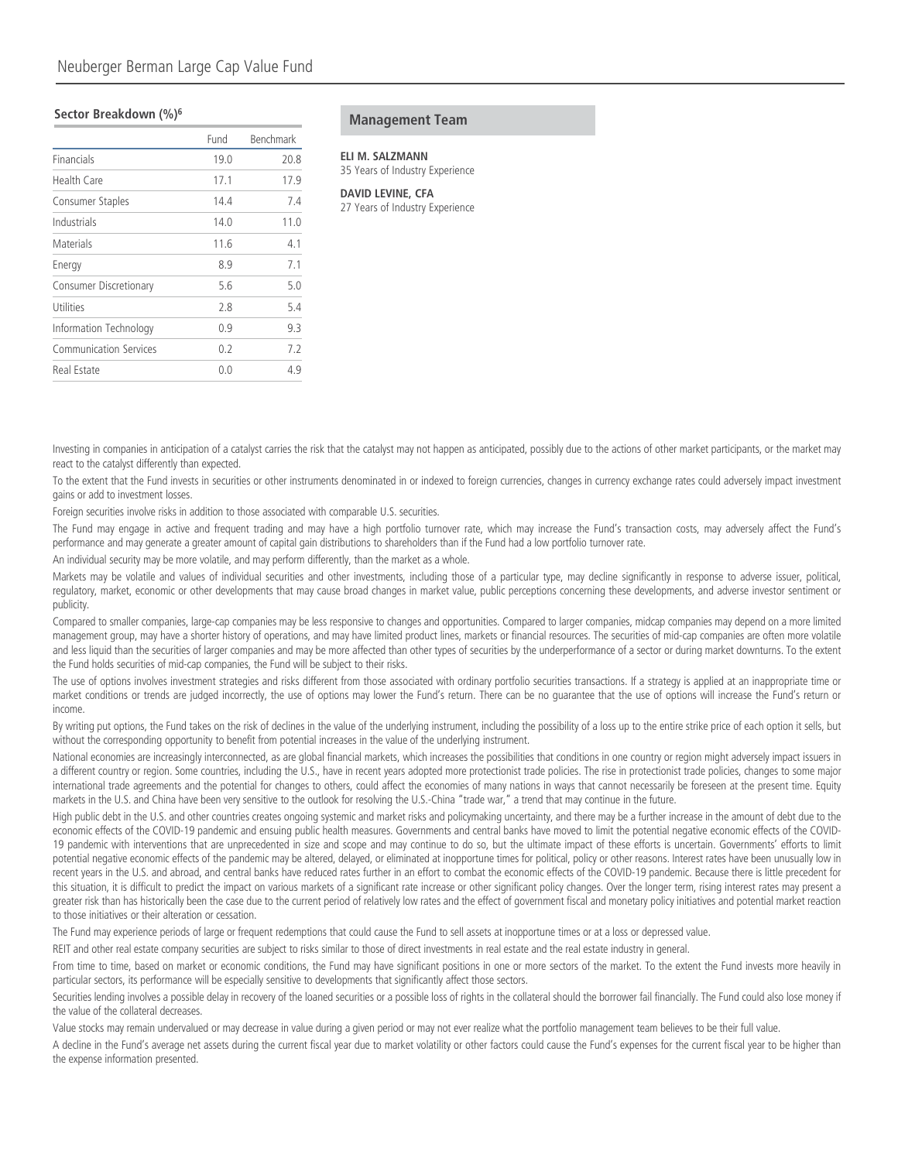#### **Sector Breakdown (%)6**

|                               | Fund | Benchmark |
|-------------------------------|------|-----------|
| Financials                    | 19.0 | 20.8      |
| Health Care                   | 17.1 | 17.9      |
| Consumer Staples              | 14.4 | 7.4       |
| Industrials                   | 14.0 | 11.0      |
| Materials                     | 11.6 | 4.1       |
| Energy                        | 8.9  | 7.1       |
| Consumer Discretionary        | 5.6  | 5.0       |
| Utilities                     | 2.8  | 5.4       |
| Information Technology        | 0.9  | 9.3       |
| <b>Communication Services</b> | 0.2  | 7.2       |
| Real Estate                   | 0.0  | 4.9       |

**Management Team**

**ELI M. SALZMANN** 35 Years of Industry Experience

**DAVID LEVINE, CFA** 27 Years of Industry Experience

Investing in companies in anticipation of a catalyst carries the risk that the catalyst may not happen as anticipated, possibly due to the actions of other market participants, or the market may react to the catalyst differently than expected.

To the extent that the Fund invests in securities or other instruments denominated in or indexed to foreign currencies, changes in currency exchange rates could adversely impact investment gains or add to investment losses.

Foreign securities involve risks in addition to those associated with comparable U.S. securities.

The Fund may engage in active and frequent trading and may have a high portfolio turnover rate, which may increase the Fund's transaction costs, may adversely affect the Fund's performance and may generate a greater amount of capital gain distributions to shareholders than if the Fund had a low portfolio turnover rate.

An individual security may be more volatile, and may perform differently, than the market as a whole.

Markets may be volatile and values of individual securities and other investments, including those of a particular type, may decline significantly in response to adverse issuer, political, regulatory, market, economic or other developments that may cause broad changes in market value, public perceptions concerning these developments, and adverse investor sentiment or publicity.

Compared to smaller companies, large-cap companies may be less responsive to changes and opportunities. Compared to larger companies, midcap companies may depend on a more limited management group, may have a shorter history of operations, and may have limited product lines, markets or financial resources. The securities of mid-cap companies are often more volatile and less liquid than the securities of larger companies and may be more affected than other types of securities by the underperformance of a sector or during market downturns. To the extent the Fund holds securities of mid-cap companies, the Fund will be subject to their risks.

The use of options involves investment strategies and risks different from those associated with ordinary portfolio securities transactions. If a strategy is applied at an inappropriate time or market conditions or trends are judged incorrectly, the use of options may lower the Fund's return. There can be no guarantee that the use of options will increase the Fund's return or income.

By writing put options, the Fund takes on the risk of declines in the value of the underlying instrument, including the possibility of a loss up to the entire strike price of each option it sells, but without the corresponding opportunity to benefit from potential increases in the value of the underlying instrument.

National economies are increasingly interconnected, as are global financial markets, which increases the possibilities that conditions in one country or region might adversely impact issuers in a different country or region. Some countries, including the U.S., have in recent years adopted more protectionist trade policies. The rise in protectionist trade policies, changes to some major international trade agreements and the potential for changes to others, could affect the economies of many nations in ways that cannot necessarily be foreseen at the present time. Equity markets in the U.S. and China have been very sensitive to the outlook for resolving the U.S.-China "trade war," a trend that may continue in the future.

High public debt in the U.S. and other countries creates ongoing systemic and market risks and policymaking uncertainty, and there may be a further increase in the amount of debt due to the economic effects of the COVID-19 pandemic and ensuing public health measures. Governments and central banks have moved to limit the potential negative economic effects of the COVID-19 pandemic with interventions that are unprecedented in size and scope and may continue to do so, but the ultimate impact of these efforts is uncertain. Governments' efforts to limit potential negative economic effects of the pandemic may be altered, delayed, or eliminated at inopportune times for political, policy or other reasons. Interest rates have been unusually low in recent years in the U.S. and abroad, and central banks have reduced rates further in an effort to combat the economic effects of the COVID-19 pandemic. Because there is little precedent for this situation, it is difficult to predict the impact on various markets of a significant rate increase or other significant policy changes. Over the longer term, rising interest rates may present a greater risk than has historically been the case due to the current period of relatively low rates and the effect of government fiscal and monetary policy initiatives and potential market reaction to those initiatives or their alteration or cessation.

The Fund may experience periods of large or frequent redemptions that could cause the Fund to sell assets at inopportune times or at a loss or depressed value.

REIT and other real estate company securities are subject to risks similar to those of direct investments in real estate and the real estate industry in general.

From time to time, based on market or economic conditions, the Fund may have significant positions in one or more sectors of the market. To the extent the Fund invests more heavily in particular sectors, its performance will be especially sensitive to developments that significantly affect those sectors.

Securities lending involves a possible delay in recovery of the loaned securities or a possible loss of rights in the collateral should the borrower fail financially. The Fund could also lose money if the value of the collateral decreases.

Value stocks may remain undervalued or may decrease in value during a given period or may not ever realize what the portfolio management team believes to be their full value.

A decline in the Fund's average net assets during the current fiscal year due to market volatility or other factors could cause the Fund's expenses for the current fiscal year to be higher than the expense information presented.